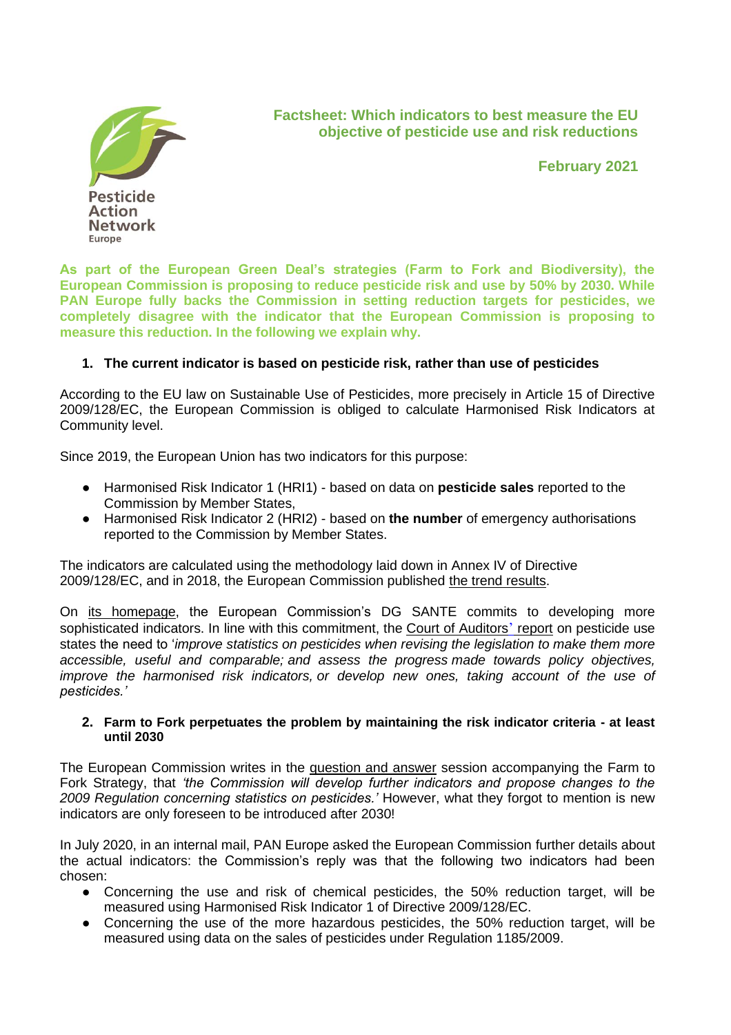

## **Factsheet: Which indicators to best measure the EU objective of pesticide use and risk reductions**

**February 2021**

**As part of the European Green Deal's strategies (Farm to Fork and Biodiversity), the European Commission is proposing to reduce pesticide risk and use by 50% by 2030. While PAN Europe fully backs the Commission in setting reduction targets for pesticides, we completely disagree with the indicator that the European Commission is proposing to measure this reduction. In the following we explain why.**

## **1. The current indicator is based on pesticide risk, rather than use of pesticides**

According to the EU law on Sustainable Use of Pesticides, more precisely in Article 15 of Directive 2009/128/EC, the European Commission is obliged to calculate Harmonised Risk Indicators at Community level.

Since 2019, the European Union has two indicators for this purpose:

- Harmonised Risk Indicator 1 (HRI1) based on data on **pesticide sales** reported to the Commission by Member States,
- Harmonised Risk Indicator 2 (HRI2) based on **the number** of emergency authorisations reported to the Commission by Member States.

The indicators are calculated using the methodology laid down in Annex IV of Directive 2009/128/EC, and in 2018, the European Commission published [the trend](https://ec.europa.eu/food/plant/pesticides/sustainable_use_pesticides/harmonised-risk-indicators/trends-hri-eu_en) [results.](https://ec.europa.eu/food/plant/pesticides/sustainable_use_pesticides/harmonised-risk-indicators/trends-hri-eu_en)

On [its homepage,](https://ec.europa.eu/food/plant/pesticides/sustainable_use_pesticides/harmonised-risk-indicators_en) the European Commission's DG SANTE commits to developing more sophisticated indicators. In line with this commitment, the [Court of Auditors](https://www.eca.europa.eu/en/Pages/NewsItem.aspx?nid=13402)['](https://www.eca.europa.eu/en/Pages/NewsItem.aspx?nid=13402) [report](https://www.eca.europa.eu/en/Pages/NewsItem.aspx?nid=13402) on pesticide use states the need to '*improve statistics on pesticides when revising the legislation to make them more accessible, useful and comparable; and assess the progress made towards policy objectives, improve the harmonised risk indicators, or develop new ones, taking account of the use of pesticides.'*

## **2. Farm to Fork perpetuates the problem by maintaining the risk indicator criteria - at least until 2030**

The European Commission writes in the [question and answer](https://ec.europa.eu/commission/presscorner/detail/en/QANDA_20_885) session accompanying the Farm to Fork Strategy, that *'the Commission will develop further indicators and propose changes to the 2009 Regulation concerning statistics on pesticides.'* However, what they forgot to mention is new indicators are only foreseen to be introduced after 2030!

In July 2020, in an internal mail, PAN Europe asked the European Commission further details about the actual indicators: the Commission's reply was that the following two indicators had been chosen:

- Concerning the use and risk of chemical pesticides, the 50% reduction target, will be measured using Harmonised Risk Indicator 1 of Directive 2009/128/EC.
- Concerning the use of the more hazardous pesticides, the 50% reduction target, will be measured using data on the sales of pesticides under Regulation 1185/2009.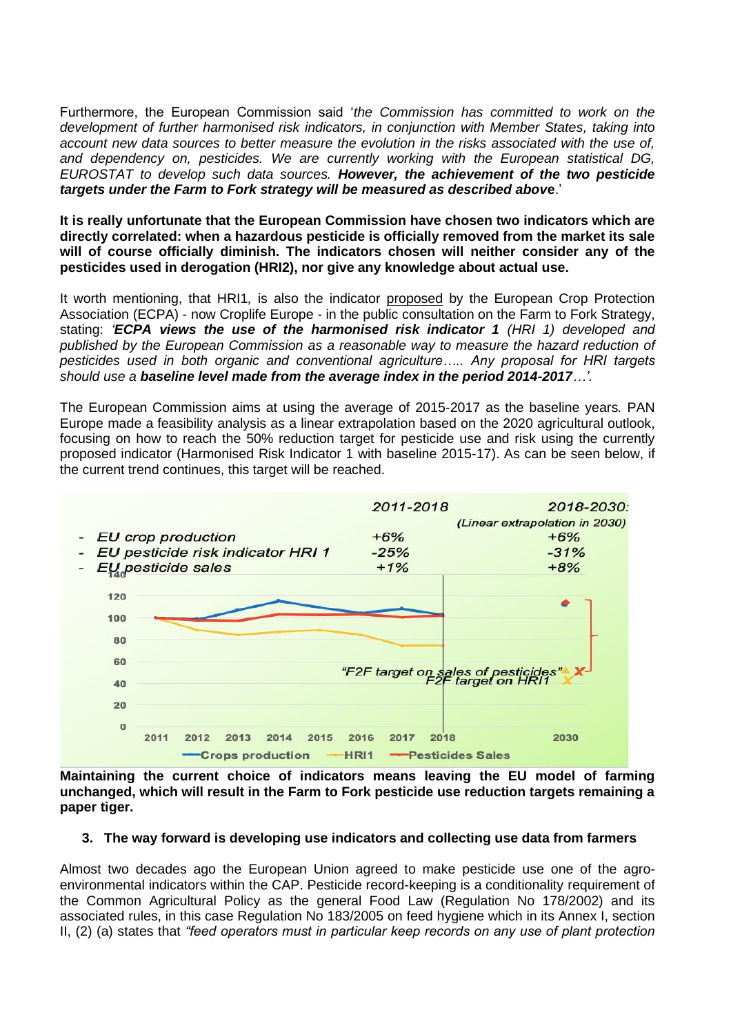Furthermore, the European Commission said '*the Commission has committed to work on the development of further harmonised risk indicators, in conjunction with Member States, taking into account new data sources to better measure the evolution in the risks associated with the use of, and dependency on, pesticides. We are currently working with the European statistical DG, EUROSTAT to develop such data sources. However, the achievement of the two pesticide targets under the Farm to Fork strategy will be measured as described abov***e**.'

**It is really unfortunate that the European Commission have chosen two indicators which are directly correlated: when a hazardous pesticide is officially removed from the market its sale will of course officially diminish. The indicators chosen will neither consider any of the pesticides used in derogation (HRI2), nor give any knowledge about actual use.** 

It worth mentioning, that HRI1*,* is also the indicator [proposed](https://ec.europa.eu/info/law/better-regulation/have-your-say/initiatives/12183-Farm-to-Fork-Strategy-/F506589) by the European Crop Protection Association (ECPA) - now Croplife Europe - in the public consultation on the Farm to Fork Strategy, stating: *'ECPA views the use of the harmonised risk indicator 1 (HRI 1) developed and published by the European Commission as a reasonable way to measure the hazard reduction of pesticides used in both organic and conventional agriculture….. Any proposal for HRI targets should use a baseline level made from the average index in the period 2014-2017…'.*

The European Commission aims at using the average of 2015-2017 as the baseline years*.* PAN Europe made a feasibility analysis as a linear extrapolation based on the 2020 agricultural outlook, focusing on how to reach the 50% reduction target for pesticide use and risk using the currently proposed indicator (Harmonised Risk Indicator 1 with baseline 2015-17). As can be seen below, if the current trend continues, this target will be reached.



**Maintaining the current choice of indicators means leaving the EU model of farming unchanged, which will result in the Farm to Fork pesticide use reduction targets remaining a paper tiger.**

## **3. The way forward is developing use indicators and collecting use data from farmers**

Almost two decades ago the European Union agreed to make pesticide use one of the agroenvironmental indicators within the CAP. Pesticide record-keeping is a conditionality requirement of the Common Agricultural Policy as the general Food Law (Regulation No 178/2002) and its associated rules, in this case Regulation No 183/2005 on feed hygiene which in its Annex I, section II, (2) (a) states that *"feed operators must in particular keep records on any use of plant protection*